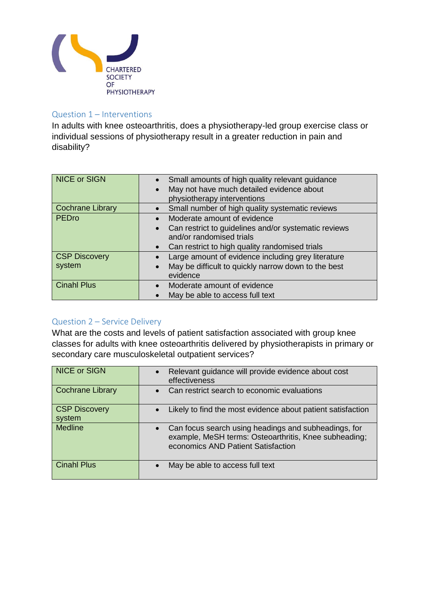

## Question 1 – Interventions

In adults with knee osteoarthritis, does a physiotherapy-led group exercise class or individual sessions of physiotherapy result in a greater reduction in pain and disability?

| <b>NICE or SIGN</b>            | Small amounts of high quality relevant guidance<br>May not have much detailed evidence about<br>physiotherapy interventions                                                    |
|--------------------------------|--------------------------------------------------------------------------------------------------------------------------------------------------------------------------------|
| <b>Cochrane Library</b>        | Small number of high quality systematic reviews                                                                                                                                |
| PEDro                          | Moderate amount of evidence<br>Can restrict to guidelines and/or systematic reviews<br>and/or randomised trials<br>Can restrict to high quality randomised trials<br>$\bullet$ |
| <b>CSP Discovery</b><br>system | Large amount of evidence including grey literature<br>May be difficult to quickly narrow down to the best<br>evidence                                                          |
| <b>Cinahl Plus</b>             | Moderate amount of evidence<br>May be able to access full text                                                                                                                 |

## Question 2 – Service Delivery

What are the costs and levels of patient satisfaction associated with group knee classes for adults with knee osteoarthritis delivered by physiotherapists in primary or secondary care musculoskeletal outpatient services?

| <b>NICE or SIGN</b>            | Relevant guidance will provide evidence about cost<br>$\bullet$<br>effectiveness                                                                    |
|--------------------------------|-----------------------------------------------------------------------------------------------------------------------------------------------------|
| <b>Cochrane Library</b>        | Can restrict search to economic evaluations<br>$\bullet$                                                                                            |
| <b>CSP Discovery</b><br>system | Likely to find the most evidence about patient satisfaction                                                                                         |
| <b>Medline</b>                 | Can focus search using headings and subheadings, for<br>example, MeSH terms: Osteoarthritis, Knee subheading;<br>economics AND Patient Satisfaction |
| <b>Cinahl Plus</b>             | May be able to access full text                                                                                                                     |